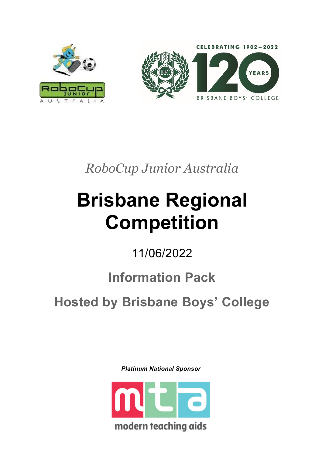

*RoboCup Junior Australia*

# **Brisbane Regional Competition**

11/06/2022

## **Information Pack**

**Hosted by Brisbane Boys' College**

*Platinum National Sponsor*

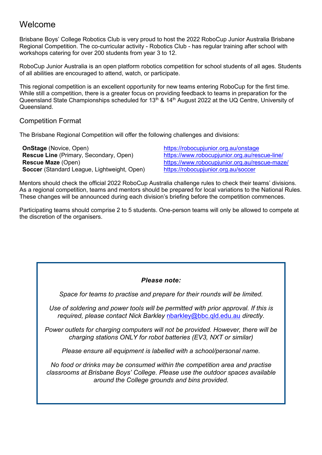## Welcome

Brisbane Boys' College Robotics Club is very proud to host the 2022 RoboCup Junior Australia Brisbane Regional Competition. The co-curricular activity - Robotics Club - has regular training after school with workshops catering for over 200 students from year 3 to 12.

RoboCup Junior Australia is an open platform robotics competition for school students of all ages. Students of all abilities are encouraged to attend, watch, or participate.

This regional competition is an excellent opportunity for new teams entering RoboCup for the first time. While still a competition, there is a greater focus on providing feedback to teams in preparation for the Queensland State Championships scheduled for 13<sup>th</sup> & 14<sup>th</sup> August 2022 at the UQ Centre, University of Queensland.

Competition Format

The Brisbane Regional Competition will offer the following challenges and divisions:

**OnStage** (Novice, Open) <https://robocupjunior.org.au/onstage> **Soccer** (Standard League, Lightweight, Open)

**Rescue Line** (Primary, Secondary, Open) <https://www.robocupjunior.org.au/rescue-line/> **Rescue Maze** (Open) <br> **Rescue Maze** (Open) <https://www.robocupjunior.org.au/rescue-maze/><br> **Soccer** (Standard League, Lightweight, Open) https://robocupjunior.org.au/soccer

Mentors should check the official 2022 RoboCup Australia challenge rules to check their teams' divisions. As a regional competition, teams and mentors should be prepared for local variations to the National Rules. These changes will be announced during each division's briefing before the competition commences.

Participating teams should comprise 2 to 5 students. One-person teams will only be allowed to compete at the discretion of the organisers.

#### *Please note:*

*Space for teams to practise and prepare for their rounds will be limited.*

*Use of soldering and power tools will be permitted with prior approval. If this is required, please contact Nick Barkley* [nbarkley@bbc.qld.edu.au](mailto:nbarkley@bbc.qld.edu.au) *directly.*

*Power outlets for charging computers will not be provided. However, there will be charging stations ONLY for robot batteries (EV3, NXT or similar)*

*Please ensure all equipment is labelled with a school/personal name.*

*No food or drinks may be consumed within the competition area and practise classrooms at Brisbane Boys' College. Please use the outdoor spaces available around the College grounds and bins provided.*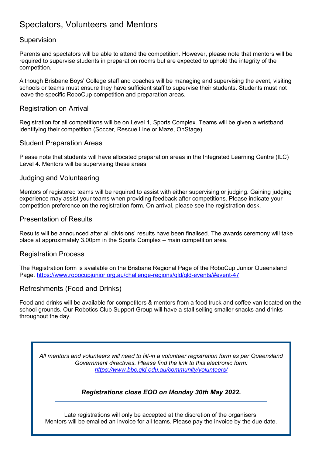## Spectators, Volunteers and Mentors

#### Supervision

Parents and spectators will be able to attend the competition. However, please note that mentors will be required to supervise students in preparation rooms but are expected to uphold the integrity of the competition.

Although Brisbane Boys' College staff and coaches will be managing and supervising the event, visiting schools or teams must ensure they have sufficient staff to supervise their students. Students must not leave the specific RoboCup competition and preparation areas.

#### Registration on Arrival

Registration for all competitions will be on Level 1, Sports Complex. Teams will be given a wristband identifying their competition (Soccer, Rescue Line or Maze, OnStage).

#### Student Preparation Areas

Please note that students will have allocated preparation areas in the Integrated Learning Centre (ILC) Level 4. Mentors will be supervising these areas.

#### Judging and Volunteering

Mentors of registered teams will be required to assist with either supervising or judging. Gaining judging experience may assist your teams when providing feedback after competitions. Please indicate your competition preference on the registration form. On arrival, please see the registration desk.

#### Presentation of Results

Results will be announced after all divisions' results have been finalised. The awards ceremony will take place at approximately 3.00pm in the Sports Complex – main competition area.

#### Registration Process

The Registration form is available on the Brisbane Regional Page of the RoboCup Junior Queensland Page. https://www.robocupjunior.org.au/challenge-regions/qld/qld-events/#event-47

#### Refreshments (Food and Drinks)

Food and drinks will be available for competitors & mentors from a food truck and coffee van located on the school grounds. Our Robotics Club Support Group will have a stall selling smaller snacks and drinks throughout the day.

*All mentors and volunteers will need to fill-in a volunteer registration form as per Queensland Government directives. Please find the link to this electronic form: <https://www.bbc.qld.edu.au/community/volunteers/>*

#### *Registrations close EOD on Monday 30th May 2022.*

Late registrations will only be accepted at the discretion of the organisers. Mentors will be emailed an invoice for all teams. Please pay the invoice by the due date.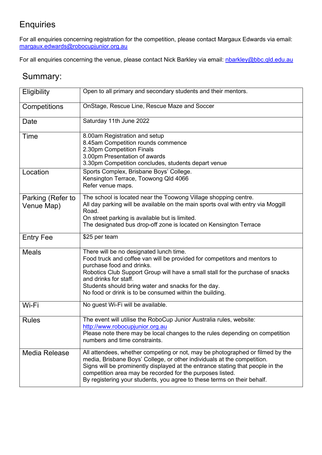## **Enquiries**

For all enquiries concerning registration for the competition, please contact Margaux Edwards via email: [margaux.edwards@robocupjunior.org.au](mailto:margaux.edwards@robocupjunior.org.au) 

For all enquiries concerning the venue, please contact Nick Barkley via email: [nbarkley@bbc.qld.edu.au](mailto:nbarkley@bbc.qld.edu.au)

## Summary:

| Eligibility                     | Open to all primary and secondary students and their mentors.                                                                                                                                                                                                                                                                                                                      |  |  |
|---------------------------------|------------------------------------------------------------------------------------------------------------------------------------------------------------------------------------------------------------------------------------------------------------------------------------------------------------------------------------------------------------------------------------|--|--|
| Competitions                    | OnStage, Rescue Line, Rescue Maze and Soccer                                                                                                                                                                                                                                                                                                                                       |  |  |
| Date                            | Saturday 11th June 2022                                                                                                                                                                                                                                                                                                                                                            |  |  |
| Time                            | 8.00am Registration and setup<br>8.45am Competition rounds commence<br>2.30pm Competition Finals<br>3.00pm Presentation of awards<br>3.30pm Competition concludes, students depart venue                                                                                                                                                                                           |  |  |
| Location                        | Sports Complex, Brisbane Boys' College.<br>Kensington Terrace, Toowong Qld 4066<br>Refer venue maps.                                                                                                                                                                                                                                                                               |  |  |
| Parking (Refer to<br>Venue Map) | The school is located near the Toowong Village shopping centre.<br>All day parking will be available on the main sports oval with entry via Moggill<br>Road.<br>On street parking is available but is limited.<br>The designated bus drop-off zone is located on Kensington Terrace                                                                                                |  |  |
| <b>Entry Fee</b>                | \$25 per team                                                                                                                                                                                                                                                                                                                                                                      |  |  |
| <b>Meals</b>                    | There will be no designated lunch time.<br>Food truck and coffee van will be provided for competitors and mentors to<br>purchase food and drinks.<br>Robotics Club Support Group will have a small stall for the purchase of snacks<br>and drinks for staff.<br>Students should bring water and snacks for the day.<br>No food or drink is to be consumed within the building.     |  |  |
| Wi-Fi                           | No guest Wi-Fi will be available.                                                                                                                                                                                                                                                                                                                                                  |  |  |
| <b>Rules</b>                    | The event will utilise the RoboCup Junior Australia rules, website:<br>http://www.robocupjunior.org.au<br>Please note there may be local changes to the rules depending on competition<br>numbers and time constraints.                                                                                                                                                            |  |  |
| Media Release                   | All attendees, whether competing or not, may be photographed or filmed by the<br>media, Brisbane Boys' College, or other individuals at the competition.<br>Signs will be prominently displayed at the entrance stating that people in the<br>competition area may be recorded for the purposes listed.<br>By registering your students, you agree to these terms on their behalf. |  |  |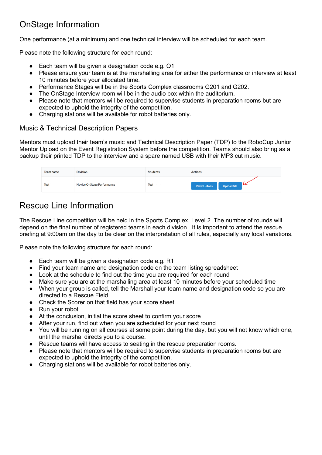## OnStage Information

One performance (at a minimum) and one technical interview will be scheduled for each team.

Please note the following structure for each round:

- Each team will be given a designation code e.g. O1
- Please ensure your team is at the marshalling area for either the performance or interview at least 10 minutes before your allocated time.
- Performance Stages will be in the Sports Complex classrooms G201 and G202.
- The OnStage Interview room will be in the audio box within the auditorium.
- Please note that mentors will be required to supervise students in preparation rooms but are expected to uphold the integrity of the competition.
- Charging stations will be available for robot batteries only.

#### Music & Technical Description Papers

Mentors must upload their team's music and Technical Description Paper (TDP) to the RoboCup Junior Mentor Upload on the Event Registration System before the competition. Teams should also bring as a backup their printed TDP to the interview and a spare named USB with their MP3 cut music.

| Team name | <b>Division</b>            | <b>Students</b> | <b>Actions</b>                          |
|-----------|----------------------------|-----------------|-----------------------------------------|
| Test      | Novice OnStage Performance | <b>Test</b>     | ∽<br>Upload file<br><b>View Details</b> |

## Rescue Line Information

The Rescue Line competition will be held in the Sports Complex, Level 2. The number of rounds will depend on the final number of registered teams in each division. It is important to attend the rescue briefing at 9:00am on the day to be clear on the interpretation of all rules, especially any local variations.

Please note the following structure for each round:

- Each team will be given a designation code e.g. R1
- Find your team name and designation code on the team listing spreadsheet
- Look at the schedule to find out the time you are required for each round
- Make sure you are at the marshalling area at least 10 minutes before your scheduled time
- When your group is called, tell the Marshall your team name and designation code so you are directed to a Rescue Field
- Check the Scorer on that field has your score sheet
- Run your robot
- At the conclusion, initial the score sheet to confirm your score
- After your run, find out when you are scheduled for your next round
- You will be running on all courses at some point during the day, but you will not know which one, until the marshal directs you to a course.
- Rescue teams will have access to seating in the rescue preparation rooms.
- Please note that mentors will be required to supervise students in preparation rooms but are expected to uphold the integrity of the competition.
- Charging stations will be available for robot batteries only.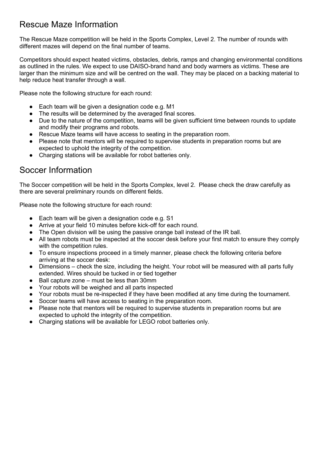## Rescue Maze Information

The Rescue Maze competition will be held in the Sports Complex, Level 2. The number of rounds with different mazes will depend on the final number of teams.

Competitors should expect heated victims, obstacles, debris, ramps and changing environmental conditions as outlined in the rules. We expect to use DAISO-brand hand and body warmers as victims. These are larger than the minimum size and will be centred on the wall. They may be placed on a backing material to help reduce heat transfer through a wall.

Please note the following structure for each round:

- Each team will be given a designation code e.g. M1
- The results will be determined by the averaged final scores.
- Due to the nature of the competition, teams will be given sufficient time between rounds to update and modify their programs and robots.
- Rescue Maze teams will have access to seating in the preparation room.
- Please note that mentors will be required to supervise students in preparation rooms but are expected to uphold the integrity of the competition.
- Charging stations will be available for robot batteries only.

### Soccer Information

The Soccer competition will be held in the Sports Complex, level 2. Please check the draw carefully as there are several preliminary rounds on different fields.

Please note the following structure for each round:

- Each team will be given a designation code e.g. S1
- Arrive at your field 10 minutes before kick-off for each round.
- The Open division will be using the passive orange ball instead of the IR ball.
- All team robots must be inspected at the soccer desk before your first match to ensure they comply with the competition rules.
- To ensure inspections proceed in a timely manner, please check the following criteria before arriving at the soccer desk:
- Dimensions check the size, including the height. Your robot will be measured with all parts fully extended. Wires should be tucked in or tied together
- Ball capture zone must be less than 30mm
- Your robots will be weighed and all parts inspected
- Your robots must be re-inspected if they have been modified at any time during the tournament.
- Soccer teams will have access to seating in the preparation room.
- Please note that mentors will be required to supervise students in preparation rooms but are expected to uphold the integrity of the competition.
- Charging stations will be available for LEGO robot batteries only.